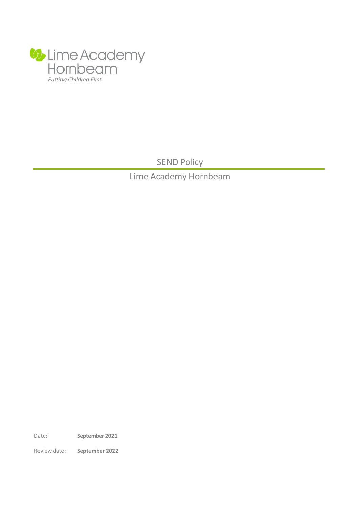

SEND Policy

Lime Academy Hornbeam

Date: **September 2021**

Review date: **September 2022**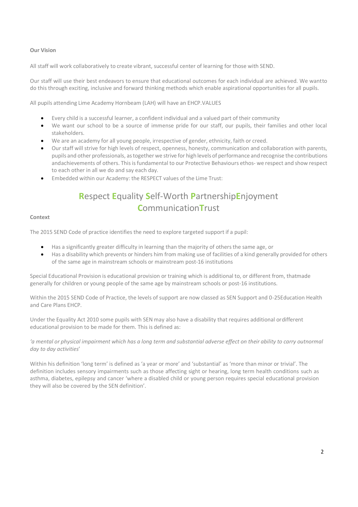# **Our Vision**

All staff will work collaboratively to create vibrant, successful center of learning for those with SEND.

Our staff will use their best endeavors to ensure that educational outcomes for each individual are achieved. We wantto do this through exciting, inclusive and forward thinking methods which enable aspirational opportunities for all pupils.

All pupils attending Lime Academy Hornbeam (LAH) will have an EHCP.VALUES

- Every child is a successful learner, a confident individual and a valued part of their community
- We want our school to be a source of immense pride for our staff, our pupils, their families and other local stakeholders.
- We are an academy for all young people, irrespective of gender, ethnicity, faith or creed.
- Our staff will strive for high levels of respect, openness, honesty, communication and collaboration with parents, pupils and other professionals, astogether we strive for high levels of performance and recognise the contributions andachievements of others. This is fundamental to our Protective Behaviours ethos- we respect and show respect to each other in all we do and say each day.
- Embedded within our Academy: the RESPECT values of the Lime Trust:

# **R**espect **E**quality **S**elf-Worth **P**artnership**E**njoyment **C**ommunication**T**rust

## **Context**

The 2015 SEND Code of practice identifies the need to explore targeted support if a pupil:

- Has a significantly greater difficulty in learning than the majority of others the same age, or
- Has a disability which prevents or hinders him from making use of facilities of a kind generally provided for others of the same age in mainstream schools or mainstream post-16 institutions

Special Educational Provision is educational provision or training which is additional to, or different from, thatmade generally for children or young people of the same age by mainstream schools or post-16 institutions.

Within the 2015 SEND Code of Practice, the levels of support are now classed as SEN Support and 0-25Education Health and Care Plans EHCP.

Under the Equality Act 2010 some pupils with SEN may also have a disability that requires additional ordifferent educational provision to be made for them. This is defined as:

'a mental or physical impairment which has a long term and substantial adverse effect on their ability to carry outnormal *day to day activities*'

Within his definition 'long term' is defined as 'a year or more' and 'substantial' as 'more than minor or trivial'. The definition includes sensory impairments such as those affecting sight or hearing, long term health conditions such as asthma, diabetes, epilepsy and cancer 'where a disabled child or young person requires special educational provision they will also be covered by the SEN definition'.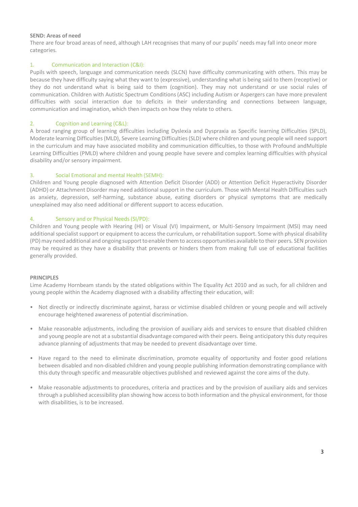## **SEND: Areas of need**

There are four broad areas of need, although LAH recognises that many of our pupils' needs may fall into oneor more categories.

# 1. Communication and Interaction (C&I):

Pupils with speech, language and communication needs (SLCN) have difficulty communicating with others. This may be because they have difficulty saying what they want to (expressive), understanding what is being said to them (receptive) or they do not understand what is being said to them (cognition). They may not understand or use social rules of communication. Children with Autistic Spectrum Conditions (ASC) including Autism or Aspergers can have more prevalent difficulties with social interaction due to deficits in their understanding and connections between language, communication and imagination, which then impacts on how they relate to others.

# 2. Cognition and Learning (C&L):

A broad ranging group of learning difficulties including Dyslexia and Dyspraxia as Specific learning Difficulties (SPLD), Moderate learning Difficulties (MLD), Severe Learning Difficulties (SLD) where children and young people will need support in the curriculum and may have associated mobility and communication difficulties, to those with Profound andMultiple Learning Difficulties (PMLD) where children and young people have severe and complex learning difficulties with physical disability and/or sensory impairment.

# 3. Social Emotional and mental Health (SEMH):

Children and Young people diagnosed with Attention Deficit Disorder (ADD) or Attention Deficit Hyperactivity Disorder (ADHD) or Attachment Disorder may need additional support in the curriculum. Those with Mental Health Difficulties such as anxiety, depression, self-harming, substance abuse, eating disorders or physical symptoms that are medically unexplained may also need additional or different support to access education.

# 4. Sensory and or Physical Needs(SI/PD):

Children and Young people with Hearing (HI) or Visual (VI) Impairment, or Multi-Sensory Impairment (MSI) may need additional specialist support or equipment to access the curriculum, or rehabilitation support. Some with physical disability (PD)may need additional and ongoing supportto enable themto access opportunities available to their peers. SEN provision may be required as they have a disability that prevents or hinders them from making full use of educational facilities generally provided.

## **PRINCIPLES**

Lime Academy Hornbeam stands by the stated obligations within The Equality Act 2010 and as such, for all children and young people within the Academy diagnosed with a disability affecting their education, will:

- Not directly or indirectly discriminate against, harass or victimise disabled children or young people and will actively encourage heightened awareness of potential discrimination.
- Make reasonable adjustments, including the provision of auxiliary aids and services to ensure that disabled children and young people are not at a substantial disadvantage compared with their peers. Being anticipatory this duty requires advance planning of adjustments that may be needed to prevent disadvantage over time.
- Have regard to the need to eliminate discrimination, promote equality of opportunity and foster good relations between disabled and non-disabled children and young people publishing information demonstrating compliance with this duty through specific and measurable objectives published and reviewed against the core aims of the duty.
- Make reasonable adjustments to procedures, criteria and practices and by the provision of auxiliary aids and services through a published accessibility plan showing how accessto both information and the physical environment, for those with disabilities, is to be increased.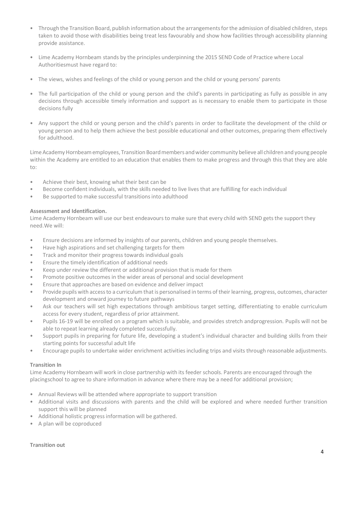- Through the Transition Board, publish information about the arrangements for the admission of disabled children, steps taken to avoid those with disabilities being treat less favourably and show how facilities through accessibility planning provide assistance.
- Lime Academy Hornbeam stands by the principles underpinning the 2015 SEND Code of Practice where Local Authoritiesmust have regard to:
- The views, wishes and feelings of the child or young person and the child or young persons' parents
- The full participation of the child or young person and the child's parents in participating as fully as possible in any decisions through accessible timely information and support as is necessary to enable them to participate in those decisions fully
- Any support the child or young person and the child's parents in order to facilitate the development of the child or young person and to help them achieve the best possible educational and other outcomes, preparing them effectively for adulthood.

Lime Academy Hornbeam employees. Transition Board members and wider community believe all children and young people within the Academy are entitled to an education that enables them to make progress and through this that they are able to:

- Achieve their best, knowing what their best can be
- Become confident individuals, with the skills needed to live lives that are fulfilling for each individual
- Be supported to make successful transitions into adulthood

## **Assessment and Identification.**

Lime Academy Hornbeam will use our best endeavours to make sure that every child with SEND gets the support they need.We will:

- Ensure decisions are informed by insights of our parents, children and young people themselves.
- Have high aspirations and set challenging targets for them
- Track and monitor their progress towards individual goals
- Ensure the timely identification of additional needs
- Keep under review the different or additional provision that is made for them
- Promote positive outcomes in the wider areas of personal and social development
- Ensure that approaches are based on evidence and deliver impact
- Provide pupils with access to a curriculum that is personalised in terms of their learning, progress, outcomes, character development and onward journey to future pathways
- Ask our teachers will set high expectations through ambitious target setting, differentiating to enable curriculum access for every student, regardless of prior attainment.
- Pupils 16-19 will be enrolled on a program which is suitable, and provides stretch andprogression. Pupils will not be able to repeat learning already completed successfully.
- Support pupils in preparing for future life, developing a student's individual character and building skills from their starting points for successful adult life
- Encourage pupils to undertake wider enrichment activitiesincluding trips and visits through reasonable adjustments.

# **Transition In**

Lime Academy Hornbeam will work in close partnership with its feeder schools. Parents are encouraged through the placingschool to agree to share information in advance where there may be a need for additional provision;

- Annual Reviews will be attended where appropriate to support transition
- Additional visits and discussions with parents and the child will be explored and where needed further transition support this will be planned
- Additional holistic progressinformation will be gathered.
- A plan will be coproduced

## **Transition out**